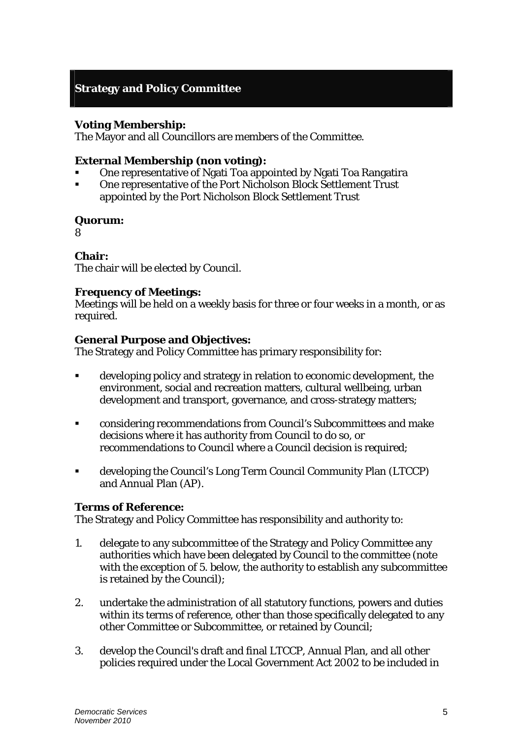# **Strategy and Policy Committee**

## **Voting Membership:**

The Mayor and all Councillors are members of the Committee.

## **External Membership (non voting):**

- One representative of Ngati Toa appointed by Ngati Toa Rangatira
- One representative of the Port Nicholson Block Settlement Trust appointed by the Port Nicholson Block Settlement Trust

## **Quorum:**

8

## **Chair:**

The chair will be elected by Council.

## **Frequency of Meetings:**

Meetings will be held on a weekly basis for three or four weeks in a month, or as required.

## **General Purpose and Objectives:**

The Strategy and Policy Committee has primary responsibility for:

- developing policy and strategy in relation to economic development, the environment, social and recreation matters, cultural wellbeing, urban development and transport, governance, and cross-strategy matters;
- considering recommendations from Council's Subcommittees and make decisions where it has authority from Council to do so, or recommendations to Council where a Council decision is required;
- developing the Council's Long Term Council Community Plan (LTCCP) and Annual Plan (AP).

## **Terms of Reference:**

The Strategy and Policy Committee has responsibility and authority to:

- 1. delegate to any subcommittee of the Strategy and Policy Committee any authorities which have been delegated by Council to the committee (note with the exception of 5. below, the authority to establish any subcommittee is retained by the Council);
- 2. undertake the administration of all statutory functions, powers and duties within its terms of reference, other than those specifically delegated to any other Committee or Subcommittee, or retained by Council;
- 3. develop the Council's draft and final LTCCP, Annual Plan, and all other policies required under the Local Government Act 2002 to be included in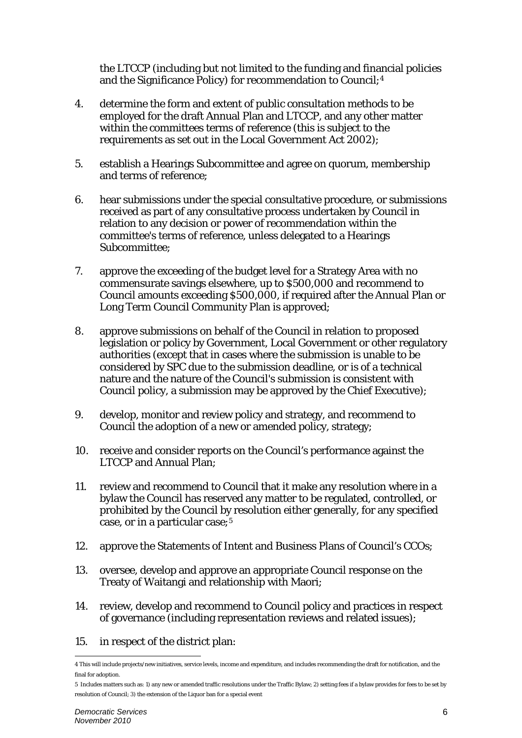the LTCCP (including but not limited to the funding and financial policies and the Significance Policy) for recommendation to Council;[4](#page-1-0)

- 4. determine the form and extent of public consultation methods to be employed for the draft Annual Plan and LTCCP, and any other matter within the committees terms of reference (this is subject to the requirements as set out in the Local Government Act 2002);
- 5. establish a Hearings Subcommittee and agree on quorum, membership and terms of reference;
- 6. hear submissions under the special consultative procedure, or submissions received as part of any consultative process undertaken by Council in relation to any decision or power of recommendation within the committee's terms of reference, unless delegated to a Hearings Subcommittee;
- 7. approve the exceeding of the budget level for a Strategy Area with no commensurate savings elsewhere, up to \$500,000 and recommend to Council amounts exceeding \$500,000, if required after the Annual Plan or Long Term Council Community Plan is approved;
- 8. approve submissions on behalf of the Council in relation to proposed legislation or policy by Government, Local Government or other regulatory authorities (except that in cases where the submission is unable to be considered by SPC due to the submission deadline, or is of a technical nature and the nature of the Council's submission is consistent with Council policy, a submission may be approved by the Chief Executive);
- 9. develop, monitor and review policy and strategy, and recommend to Council the adoption of a new or amended policy, strategy;
- 10. receive and consider reports on the Council's performance against the LTCCP and Annual Plan;
- 11. review and recommend to Council that it make any resolution where in a bylaw the Council has reserved any matter to be regulated, controlled, or prohibited by the Council by resolution either generally, for any specified case, or in a particular case;[5](#page-1-1)
- 12. approve the Statements of Intent and Business Plans of Council's CCOs;
- 13. oversee, develop and approve an appropriate Council response on the Treaty of Waitangi and relationship with Maori;
- 14. review, develop and recommend to Council policy and practices in respect of governance (including representation reviews and related issues);
- 15. in respect of the district plan:

<span id="page-1-0"></span> $\overline{a}$ 4 This will include projects/new initiatives, service levels, income and expenditure, and includes recommending the draft for notification, and the final for adoption.

<span id="page-1-1"></span><sup>5</sup> Includes matters such as: 1) any new or amended traffic resolutions under the Traffic Bylaw; 2) setting fees if a bylaw provides for fees to be set by resolution of Council; 3) the extension of the Liquor ban for a special event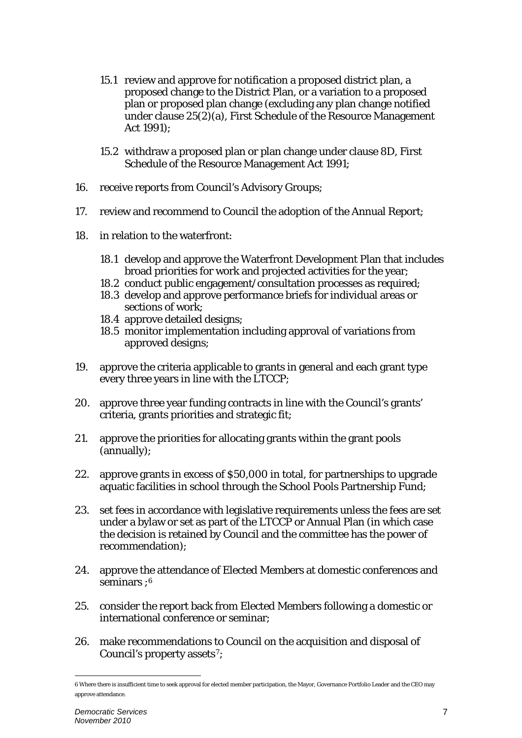- 15.1 review and approve for notification a proposed district plan, a proposed change to the District Plan, or a variation to a proposed plan or proposed plan change (excluding any plan change notified under clause 25(2)(a), First Schedule of the Resource Management Act 1991);
- 15.2 withdraw a proposed plan or plan change under clause 8D, First Schedule of the Resource Management Act 1991;
- 16. receive reports from Council's Advisory Groups;
- 17. review and recommend to Council the adoption of the Annual Report;
- 18. in relation to the waterfront:
	- 18.1 develop and approve the Waterfront Development Plan that includes broad priorities for work and projected activities for the year;
	- 18.2 conduct public engagement/consultation processes as required;
	- 18.3 develop and approve performance briefs for individual areas or sections of work;
	- 18.4 approve detailed designs;
	- 18.5 monitor implementation including approval of variations from approved designs;
- 19. approve the criteria applicable to grants in general and each grant type every three years in line with the LTCCP;
- 20. approve three year funding contracts in line with the Council's grants' criteria, grants priorities and strategic fit;
- 21. approve the priorities for allocating grants within the grant pools (annually);
- 22. approve grants in excess of \$50,000 in total, for partnerships to upgrade aquatic facilities in school through the School Pools Partnership Fund;
- 23. set fees in accordance with legislative requirements unless the fees are set under a bylaw or set as part of the LTCCP or Annual Plan (in which case the decision is retained by Council and the committee has the power of recommendation);
- 24. approve the attendance of Elected Members at domestic conferences and seminars : [6](#page-2-0)
- 25. consider the report back from Elected Members following a domestic or international conference or seminar;
- 26. make recommendations to Council on the acquisition and disposal of Council's property assets<sup>[7](#page-2-1)</sup>;

 $\overline{a}$ 

<span id="page-2-1"></span><span id="page-2-0"></span><sup>6</sup> Where there is insufficient time to seek approval for elected member participation, the Mayor, Governance Portfolio Leader and the CEO may approve attendance.